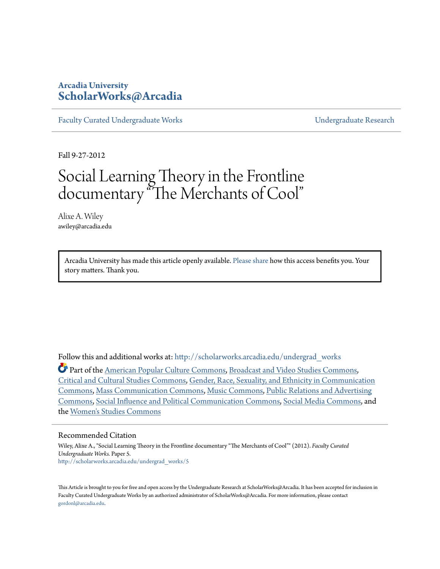# **Arcadia University [ScholarWorks@Arcadia](http://scholarworks.arcadia.edu?utm_source=scholarworks.arcadia.edu%2Fundergrad_works%2F5&utm_medium=PDF&utm_campaign=PDFCoverPages)**

[Faculty Curated Undergraduate Works](http://scholarworks.arcadia.edu/undergrad_works?utm_source=scholarworks.arcadia.edu%2Fundergrad_works%2F5&utm_medium=PDF&utm_campaign=PDFCoverPages) [Undergraduate Research](http://scholarworks.arcadia.edu/undergrad_scholarship?utm_source=scholarworks.arcadia.edu%2Fundergrad_works%2F5&utm_medium=PDF&utm_campaign=PDFCoverPages)

Fall 9-27-2012

# Social Learning Theory in the Frontline documentary "The Merchants of Cool"

Alixe A. Wiley awiley@arcadia.edu

> Arcadia University has made this article openly available. [Please share](https://goo.gl/forms/Ref8L18S9ZgLcqDx1) how this access benefits you. Your story matters. Thank you.

Follow this and additional works at: [http://scholarworks.arcadia.edu/undergrad\\_works](http://scholarworks.arcadia.edu/undergrad_works?utm_source=scholarworks.arcadia.edu%2Fundergrad_works%2F5&utm_medium=PDF&utm_campaign=PDFCoverPages)

Part of the [American Popular Culture Commons](http://network.bepress.com/hgg/discipline/443?utm_source=scholarworks.arcadia.edu%2Fundergrad_works%2F5&utm_medium=PDF&utm_campaign=PDFCoverPages), [Broadcast and Video Studies Commons,](http://network.bepress.com/hgg/discipline/326?utm_source=scholarworks.arcadia.edu%2Fundergrad_works%2F5&utm_medium=PDF&utm_campaign=PDFCoverPages) [Critical and Cultural Studies Commons,](http://network.bepress.com/hgg/discipline/328?utm_source=scholarworks.arcadia.edu%2Fundergrad_works%2F5&utm_medium=PDF&utm_campaign=PDFCoverPages) [Gender, Race, Sexuality, and Ethnicity in Communication](http://network.bepress.com/hgg/discipline/329?utm_source=scholarworks.arcadia.edu%2Fundergrad_works%2F5&utm_medium=PDF&utm_campaign=PDFCoverPages) [Commons,](http://network.bepress.com/hgg/discipline/329?utm_source=scholarworks.arcadia.edu%2Fundergrad_works%2F5&utm_medium=PDF&utm_campaign=PDFCoverPages) [Mass Communication Commons,](http://network.bepress.com/hgg/discipline/334?utm_source=scholarworks.arcadia.edu%2Fundergrad_works%2F5&utm_medium=PDF&utm_campaign=PDFCoverPages) [Music Commons](http://network.bepress.com/hgg/discipline/518?utm_source=scholarworks.arcadia.edu%2Fundergrad_works%2F5&utm_medium=PDF&utm_campaign=PDFCoverPages), [Public Relations and Advertising](http://network.bepress.com/hgg/discipline/336?utm_source=scholarworks.arcadia.edu%2Fundergrad_works%2F5&utm_medium=PDF&utm_campaign=PDFCoverPages) [Commons,](http://network.bepress.com/hgg/discipline/336?utm_source=scholarworks.arcadia.edu%2Fundergrad_works%2F5&utm_medium=PDF&utm_campaign=PDFCoverPages) [Social Influence and Political Communication Commons,](http://network.bepress.com/hgg/discipline/337?utm_source=scholarworks.arcadia.edu%2Fundergrad_works%2F5&utm_medium=PDF&utm_campaign=PDFCoverPages) [Social Media Commons](http://network.bepress.com/hgg/discipline/1249?utm_source=scholarworks.arcadia.edu%2Fundergrad_works%2F5&utm_medium=PDF&utm_campaign=PDFCoverPages), and the [Women's Studies Commons](http://network.bepress.com/hgg/discipline/561?utm_source=scholarworks.arcadia.edu%2Fundergrad_works%2F5&utm_medium=PDF&utm_campaign=PDFCoverPages)

#### Recommended Citation

Wiley, Alixe A., "Social Learning Theory in the Frontline documentary "The Merchants of Cool"" (2012). *Faculty Curated Undergraduate Works.* Paper 5. [http://scholarworks.arcadia.edu/undergrad\\_works/5](http://scholarworks.arcadia.edu/undergrad_works/5?utm_source=scholarworks.arcadia.edu%2Fundergrad_works%2F5&utm_medium=PDF&utm_campaign=PDFCoverPages)

This Article is brought to you for free and open access by the Undergraduate Research at ScholarWorks@Arcadia. It has been accepted for inclusion in Faculty Curated Undergraduate Works by an authorized administrator of ScholarWorks@Arcadia. For more information, please contact [gordonl@arcadia.edu](mailto:gordonl@arcadia.edu).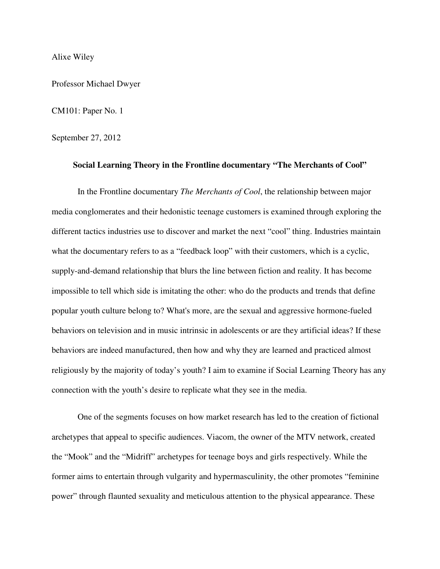#### Alixe Wiley

Professor Michael Dwyer

## CM101: Paper No. 1

### September 27, 2012

#### **Social Learning Theory in the Frontline documentary "The Merchants of Cool"**

 In the Frontline documentary *The Merchants of Cool*, the relationship between major media conglomerates and their hedonistic teenage customers is examined through exploring the different tactics industries use to discover and market the next "cool" thing. Industries maintain what the documentary refers to as a "feedback loop" with their customers, which is a cyclic, supply-and-demand relationship that blurs the line between fiction and reality. It has become impossible to tell which side is imitating the other: who do the products and trends that define popular youth culture belong to? What's more, are the sexual and aggressive hormone-fueled behaviors on television and in music intrinsic in adolescents or are they artificial ideas? If these behaviors are indeed manufactured, then how and why they are learned and practiced almost religiously by the majority of today's youth? I aim to examine if Social Learning Theory has any connection with the youth's desire to replicate what they see in the media.

 One of the segments focuses on how market research has led to the creation of fictional archetypes that appeal to specific audiences. Viacom, the owner of the MTV network, created the "Mook" and the "Midriff" archetypes for teenage boys and girls respectively. While the former aims to entertain through vulgarity and hypermasculinity, the other promotes "feminine power" through flaunted sexuality and meticulous attention to the physical appearance. These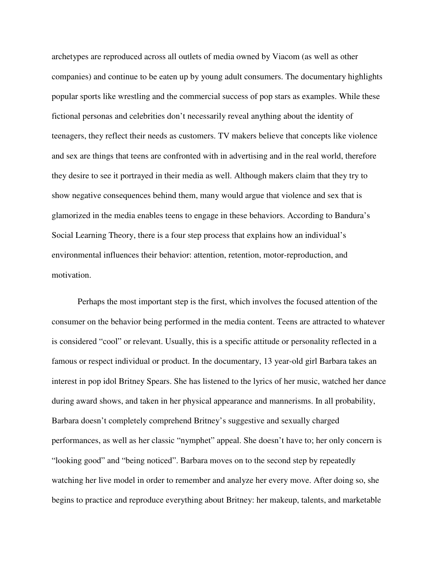archetypes are reproduced across all outlets of media owned by Viacom (as well as other companies) and continue to be eaten up by young adult consumers. The documentary highlights popular sports like wrestling and the commercial success of pop stars as examples. While these fictional personas and celebrities don't necessarily reveal anything about the identity of teenagers, they reflect their needs as customers. TV makers believe that concepts like violence and sex are things that teens are confronted with in advertising and in the real world, therefore they desire to see it portrayed in their media as well. Although makers claim that they try to show negative consequences behind them, many would argue that violence and sex that is glamorized in the media enables teens to engage in these behaviors. According to Bandura's Social Learning Theory, there is a four step process that explains how an individual's environmental influences their behavior: attention, retention, motor-reproduction, and motivation.

 Perhaps the most important step is the first, which involves the focused attention of the consumer on the behavior being performed in the media content. Teens are attracted to whatever is considered "cool" or relevant. Usually, this is a specific attitude or personality reflected in a famous or respect individual or product. In the documentary, 13 year-old girl Barbara takes an interest in pop idol Britney Spears. She has listened to the lyrics of her music, watched her dance during award shows, and taken in her physical appearance and mannerisms. In all probability, Barbara doesn't completely comprehend Britney's suggestive and sexually charged performances, as well as her classic "nymphet" appeal. She doesn't have to; her only concern is "looking good" and "being noticed". Barbara moves on to the second step by repeatedly watching her live model in order to remember and analyze her every move. After doing so, she begins to practice and reproduce everything about Britney: her makeup, talents, and marketable